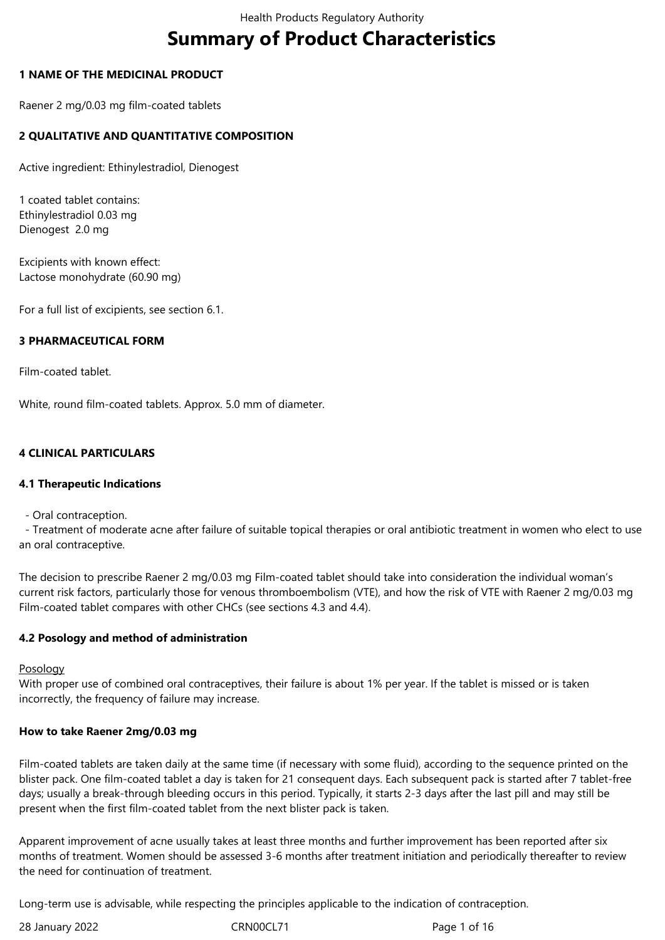# **Summary of Product Characteristics**

## **1 NAME OF THE MEDICINAL PRODUCT**

Raener 2 mg/0.03 mg film-coated tablets

# **2 QUALITATIVE AND QUANTITATIVE COMPOSITION**

Active ingredient: Ethinylestradiol, Dienogest

1 coated tablet contains: Ethinylestradiol 0.03 mg Dienogest 2.0 mg

Excipients with known effect: Lactose monohydrate (60.90 mg)

For a full list of excipients, see section 6.1.

## **3 PHARMACEUTICAL FORM**

Film-coated tablet.

White, round film-coated tablets. Approx. 5.0 mm of diameter.

## **4 CLINICAL PARTICULARS**

#### **4.1 Therapeutic Indications**

- Oral contraception.

 - Treatment of moderate acne after failure of suitable topical therapies or oral antibiotic treatment in women who elect to use an oral contraceptive.

The decision to prescribe Raener 2 mg/0.03 mg Film-coated tablet should take into consideration the individual woman's current risk factors, particularly those for venous thromboembolism (VTE), and how the risk of VTE with Raener 2 mg/0.03 mg Film-coated tablet compares with other CHCs (see sections 4.3 and 4.4).

#### **4.2 Posology and method of administration**

Posology

With proper use of combined oral contraceptives, their failure is about 1% per year. If the tablet is missed or is taken incorrectly, the frequency of failure may increase.

#### **How to take Raener 2mg/0.03 mg**

Film-coated tablets are taken daily at the same time (if necessary with some fluid), according to the sequence printed on the blister pack. One film-coated tablet a day is taken for 21 consequent days. Each subsequent pack is started after 7 tablet-free days; usually a break-through bleeding occurs in this period. Typically, it starts 2-3 days after the last pill and may still be present when the first film-coated tablet from the next blister pack is taken.

Apparent improvement of acne usually takes at least three months and further improvement has been reported after six months of treatment. Women should be assessed 3-6 months after treatment initiation and periodically thereafter to review the need for continuation of treatment.

Long-term use is advisable, while respecting the principles applicable to the indication of contraception.

28 January 2022 **CRNOOCL71** CRNOOCL71 Page 1 of 16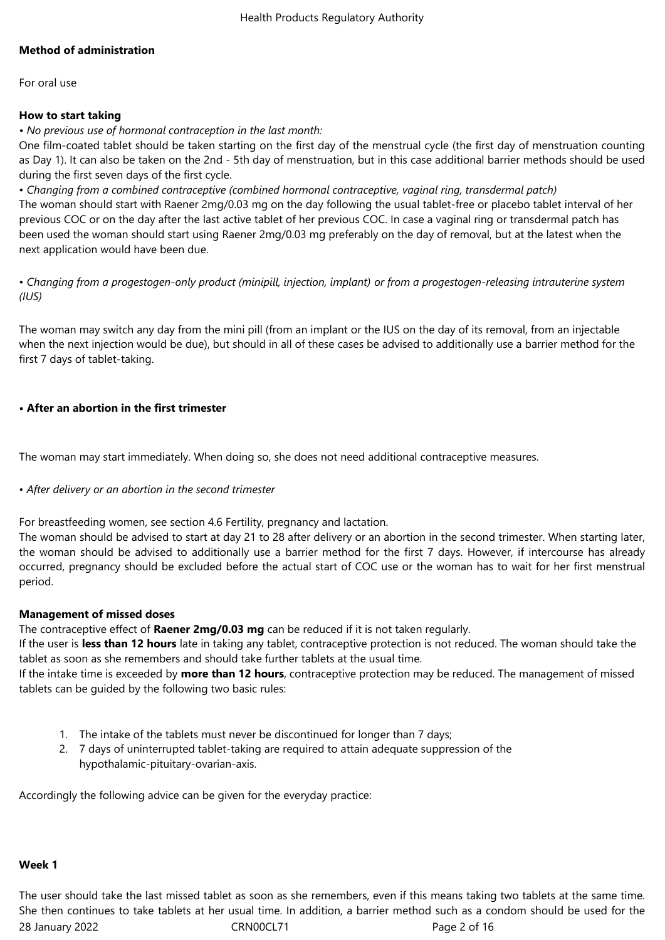# **Method of administration**

For oral use

# **How to start taking**

*• No previous use of hormonal contraception in the last month:*

One film-coated tablet should be taken starting on the first day of the menstrual cycle (the first day of menstruation counting as Day 1). It can also be taken on the 2nd - 5th day of menstruation, but in this case additional barrier methods should be used during the first seven days of the first cycle.

• *Changing from a combined contraceptive (combined hormonal contraceptive, vaginal ring, transdermal patch)* The woman should start with Raener 2mg/0.03 mg on the day following the usual tablet-free or placebo tablet interval of her previous COC or on the day after the last active tablet of her previous COC. In case a vaginal ring or transdermal patch has been used the woman should start using Raener 2mg/0.03 mg preferably on the day of removal, but at the latest when the next application would have been due.

• *Changing from a progestogen-only product (minipill, injection, implant) or from a progestogen-releasing intrauterine system (IUS)*

The woman may switch any day from the mini pill (from an implant or the IUS on the day of its removal, from an injectable when the next injection would be due), but should in all of these cases be advised to additionally use a barrier method for the first 7 days of tablet-taking.

# **• After an abortion in the first trimester**

The woman may start immediately. When doing so, she does not need additional contraceptive measures.

# • *After delivery or an abortion in the second trimester*

For breastfeeding women, see section 4.6 Fertility, pregnancy and lactation.

The woman should be advised to start at day 21 to 28 after delivery or an abortion in the second trimester. When starting later, the woman should be advised to additionally use a barrier method for the first 7 days. However, if intercourse has already occurred, pregnancy should be excluded before the actual start of COC use or the woman has to wait for her first menstrual period.

#### **Management of missed doses**

The contraceptive effect of **Raener 2mg/0.03 mg** can be reduced if it is not taken regularly.

If the user is **less than 12 hours** late in taking any tablet, contraceptive protection is not reduced. The woman should take the tablet as soon as she remembers and should take further tablets at the usual time.

If the intake time is exceeded by **more than 12 hours**, contraceptive protection may be reduced. The management of missed tablets can be guided by the following two basic rules:

- 1. The intake of the tablets must never be discontinued for longer than 7 days;
- 2. 7 days of uninterrupted tablet-taking are required to attain adequate suppression of the hypothalamic-pituitary-ovarian-axis.

Accordingly the following advice can be given for the everyday practice:

#### **Week 1**

28 January 2022 **CRNOOCL71** CRNOOCL71 Page 2 of 16 The user should take the last missed tablet as soon as she remembers, even if this means taking two tablets at the same time. She then continues to take tablets at her usual time. In addition, a barrier method such as a condom should be used for the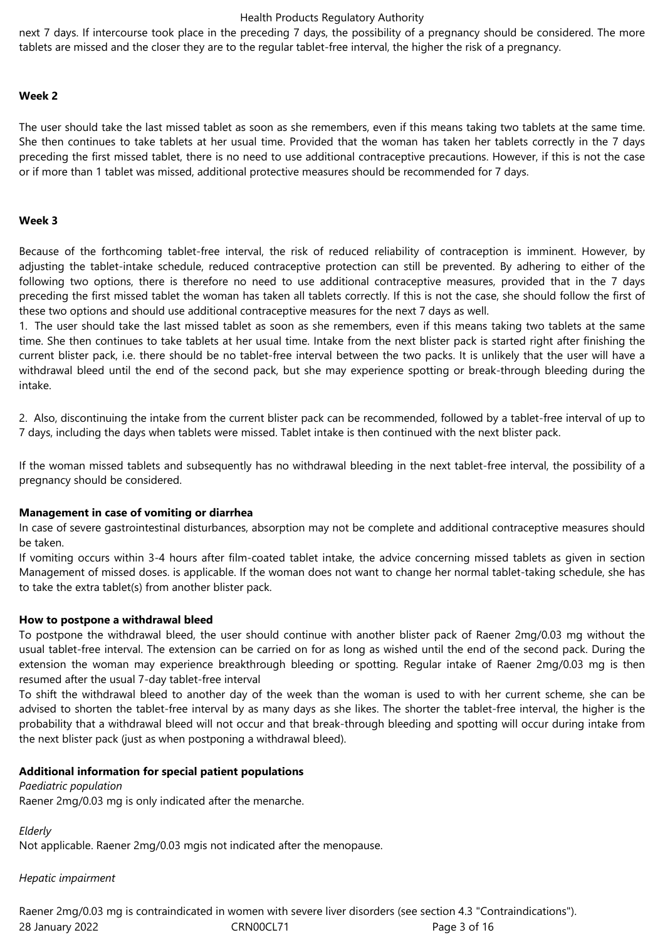next 7 days. If intercourse took place in the preceding 7 days, the possibility of a pregnancy should be considered. The more tablets are missed and the closer they are to the regular tablet-free interval, the higher the risk of a pregnancy.

#### **Week 2**

The user should take the last missed tablet as soon as she remembers, even if this means taking two tablets at the same time. She then continues to take tablets at her usual time. Provided that the woman has taken her tablets correctly in the 7 days preceding the first missed tablet, there is no need to use additional contraceptive precautions. However, if this is not the case or if more than 1 tablet was missed, additional protective measures should be recommended for 7 days.

#### **Week 3**

Because of the forthcoming tablet-free interval, the risk of reduced reliability of contraception is imminent. However, by adjusting the tablet-intake schedule, reduced contraceptive protection can still be prevented. By adhering to either of the following two options, there is therefore no need to use additional contraceptive measures, provided that in the 7 days preceding the first missed tablet the woman has taken all tablets correctly. If this is not the case, she should follow the first of these two options and should use additional contraceptive measures for the next 7 days as well.

1. The user should take the last missed tablet as soon as she remembers, even if this means taking two tablets at the same time. She then continues to take tablets at her usual time. Intake from the next blister pack is started right after finishing the current blister pack, i.e. there should be no tablet-free interval between the two packs. It is unlikely that the user will have a withdrawal bleed until the end of the second pack, but she may experience spotting or break-through bleeding during the intake.

2. Also, discontinuing the intake from the current blister pack can be recommended, followed by a tablet-free interval of up to 7 days, including the days when tablets were missed. Tablet intake is then continued with the next blister pack.

If the woman missed tablets and subsequently has no withdrawal bleeding in the next tablet-free interval, the possibility of a pregnancy should be considered.

#### **Management in case of vomiting or diarrhea**

In case of severe gastrointestinal disturbances, absorption may not be complete and additional contraceptive measures should be taken.

If vomiting occurs within 3-4 hours after film-coated tablet intake, the advice concerning missed tablets as given in section Management of missed doses. is applicable. If the woman does not want to change her normal tablet-taking schedule, she has to take the extra tablet(s) from another blister pack.

#### **How to postpone a withdrawal bleed**

To postpone the withdrawal bleed, the user should continue with another blister pack of Raener 2mg/0.03 mg without the usual tablet-free interval. The extension can be carried on for as long as wished until the end of the second pack. During the extension the woman may experience breakthrough bleeding or spotting. Regular intake of Raener 2mg/0.03 mg is then resumed after the usual 7-day tablet-free interval

To shift the withdrawal bleed to another day of the week than the woman is used to with her current scheme, she can be advised to shorten the tablet-free interval by as many days as she likes. The shorter the tablet-free interval, the higher is the probability that a withdrawal bleed will not occur and that break-through bleeding and spotting will occur during intake from the next blister pack (just as when postponing a withdrawal bleed).

#### **Additional information for special patient populations**

*Paediatric population* Raener 2mg/0.03 mg is only indicated after the menarche.

*Elderly*

Not applicable. Raener 2mg/0.03 mgis not indicated after the menopause.

#### *Hepatic impairment*

28 January 2022 CRN00CL71 Page 3 of 16 Raener 2mg/0.03 mg is contraindicated in women with severe liver disorders (see section 4.3 "Contraindications").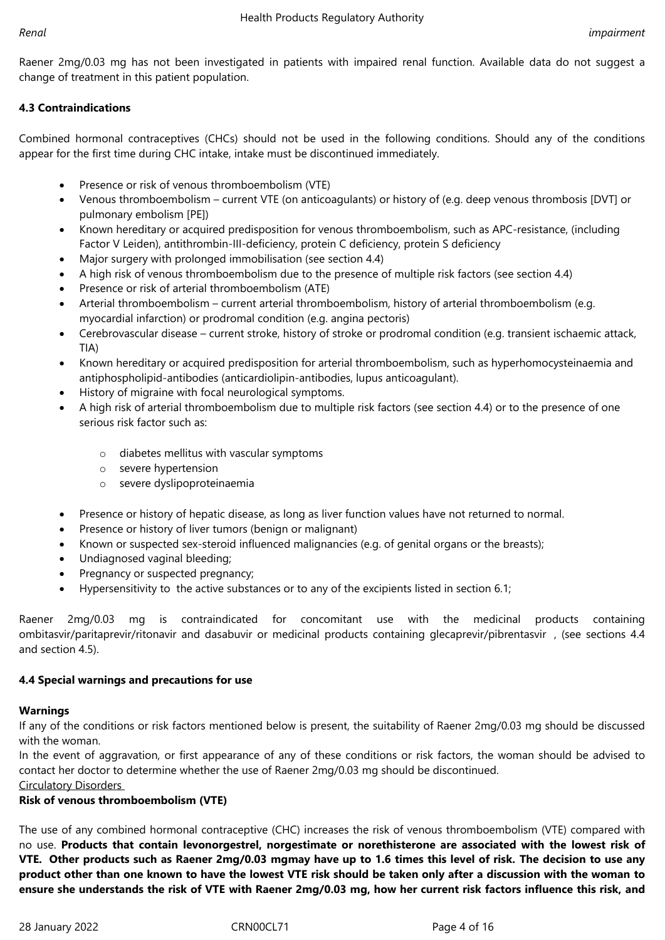Raener 2mg/0.03 mg has not been investigated in patients with impaired renal function. Available data do not suggest a change of treatment in this patient population.

# **4.3 Contraindications**

Combined hormonal contraceptives (CHCs) should not be used in the following conditions. Should any of the conditions appear for the first time during CHC intake, intake must be discontinued immediately.

- Presence or risk of venous thromboembolism (VTE)
- Venous thromboembolism current VTE (on anticoagulants) or history of (e.g. deep venous thrombosis [DVT] or pulmonary embolism [PE])
- Known hereditary or acquired predisposition for venous thromboembolism, such as APC-resistance, (including Factor V Leiden), antithrombin-III-deficiency, protein C deficiency, protein S deficiency
- Major surgery with prolonged immobilisation (see section 4.4)
- A high risk of venous thromboembolism due to the presence of multiple risk factors (see section 4.4)
- Presence or risk of arterial thromboembolism (ATE)
- Arterial thromboembolism current arterial thromboembolism, history of arterial thromboembolism (e.g. myocardial infarction) or prodromal condition (e.g. angina pectoris)
- Cerebrovascular disease current stroke, history of stroke or prodromal condition (e.g. transient ischaemic attack, TIA)
- Known hereditary or acquired predisposition for arterial thromboembolism, such as hyperhomocysteinaemia and antiphospholipid-antibodies (anticardiolipin-antibodies, lupus anticoagulant).
- History of migraine with focal neurological symptoms.
- A high risk of arterial thromboembolism due to multiple risk factors (see section 4.4) or to the presence of one serious risk factor such as:
	- o diabetes mellitus with vascular symptoms
	- o severe hypertension
	- o severe dyslipoproteinaemia
- Presence or history of hepatic disease, as long as liver function values have not returned to normal.
- Presence or history of liver tumors (benign or malignant)
- Known or suspected sex-steroid influenced malignancies (e.g. of genital organs or the breasts);
- Undiagnosed vaginal bleeding;
- Pregnancy or suspected pregnancy;
- Hypersensitivity to the active substances or to any of the excipients listed in section 6.1;

Raener 2mg/0.03 mg is contraindicated for concomitant use with the medicinal products containing ombitasvir/paritaprevir/ritonavir and dasabuvir or medicinal products containing glecaprevir/pibrentasvir , (see sections 4.4 and section 4.5).

# **4.4 Special warnings and precautions for use**

# **Warnings**

If any of the conditions or risk factors mentioned below is present, the suitability of Raener 2mg/0.03 mg should be discussed with the woman.

In the event of aggravation, or first appearance of any of these conditions or risk factors, the woman should be advised to contact her doctor to determine whether the use of Raener 2mg/0.03 mg should be discontinued.

Circulatory Disorders

# **Risk of venous thromboembolism (VTE)**

The use of any combined hormonal contraceptive (CHC) increases the risk of venous thromboembolism (VTE) compared with no use. **Products that contain levonorgestrel, norgestimate or norethisterone are associated with the lowest risk of** VTE. Other products such as Raener 2mg/0.03 mgmay have up to 1.6 times this level of risk. The decision to use any product other than one known to have the lowest VTE risk should be taken only after a discussion with the woman to ensure she understands the risk of VTE with Raener 2mg/0.03 mg, how her current risk factors influence this risk, and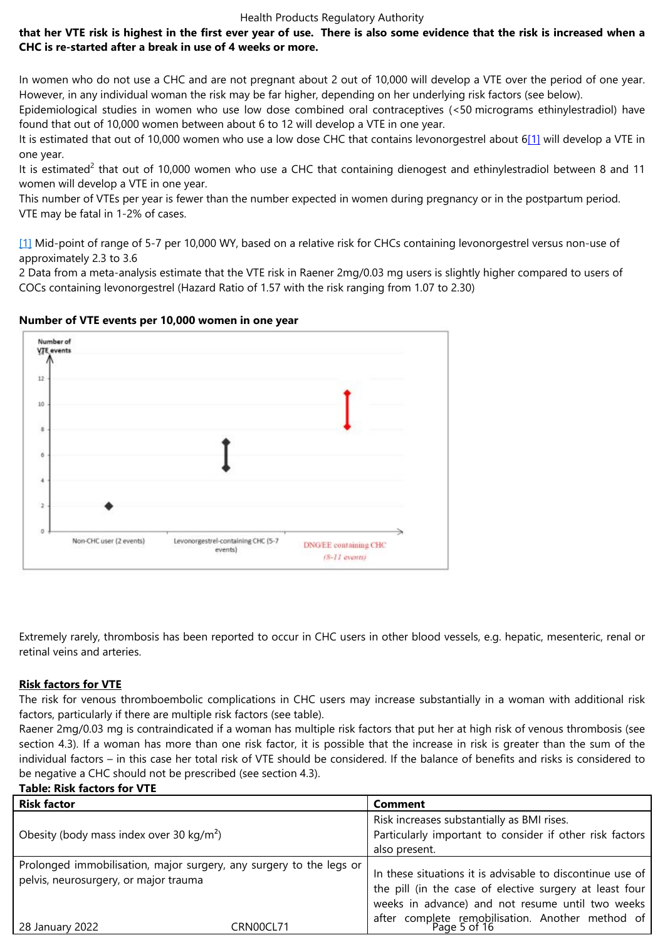In women who do not use a CHC and are not pregnant about 2 out of 10,000 will develop a VTE over the period of one year. However, in any individual woman the risk may be far higher, depending on her underlying risk factors (see below).

Epidemiological studies in women who use low dose combined oral contraceptives (<50 micrograms ethinylestradiol) have found that out of 10,000 women between about 6 to 12 will develop a VTE in one year.

It is estimated that out of 10,000 women who use a low dose CHC that contains levonorgestrel about 6[1] will develop a VTE in one year.

It is estimated<sup>2</sup> that out of 10,000 women who use a CHC that containing dienogest and ethinylestradiol between 8 and 11 women will develop a VTE in one year.

This number of VTEs per year is fewer than the number expected in women during pregnancy or in the [pos](file:///C:/Users/Connollym/AppData/Local/Microsoft/Windows/INetCache/Content.Outlook/5Y25OEQW/SPC-DIE.EE-IE-017-EoP-cl.docx)tpartum period. VTE may be fatal in 1-2% of cases.

[1] Mid-point of range of 5-7 per 10,000 WY, based on a relative risk for CHCs containing levonorgestrel versus non-use of approximately 2.3 to 3.6

2 Data from a meta-analysis estimate that the VTE risk in Raener 2mg/0.03 mg users is slightly higher compared to users of [CO](file:///C:/Users/Connollym/AppData/Local/Microsoft/Windows/INetCache/Content.Outlook/5Y25OEQW/SPC-DIE.EE-IE-017-EoP-cl.docx)Cs containing levonorgestrel (Hazard Ratio of 1.57 with the risk ranging from 1.07 to 2.30)

#### **Number of VTE events per 10,000 women in one year**



Extremely rarely, thrombosis has been reported to occur in CHC users in other blood vessels, e.g. hepatic, mesenteric, renal or retinal veins and arteries.

# **Risk factors for VTE**

The risk for venous thromboembolic complications in CHC users may increase substantially in a woman with additional risk factors, particularly if there are multiple risk factors (see table).

Raener 2mg/0.03 mg is contraindicated if a woman has multiple risk factors that put her at high risk of venous thrombosis (see section 4.3). If a woman has more than one risk factor, it is possible that the increase in risk is greater than the sum of the individual factors – in this case her total risk of VTE should be considered. If the balance of benefits and risks is considered to be negative a CHC should not be prescribed (see section 4.3).

#### **Table: Risk factors for VTE**

| <b>Risk factor</b>                                                                                           |           | <b>Comment</b>                                                                                                                                                           |  |
|--------------------------------------------------------------------------------------------------------------|-----------|--------------------------------------------------------------------------------------------------------------------------------------------------------------------------|--|
| Obesity (body mass index over 30 kg/m <sup>2</sup> )                                                         |           | Risk increases substantially as BMI rises.<br>Particularly important to consider if other risk factors                                                                   |  |
|                                                                                                              |           | also present.                                                                                                                                                            |  |
| Prolonged immobilisation, major surgery, any surgery to the legs or<br>pelvis, neurosurgery, or major trauma |           | In these situations it is advisable to discontinue use of<br>the pill (in the case of elective surgery at least four<br>weeks in advance) and not resume until two weeks |  |
| 28 January 2022                                                                                              | CRN00CL71 | after complete remobilisation. Another method of Page 5 of 16                                                                                                            |  |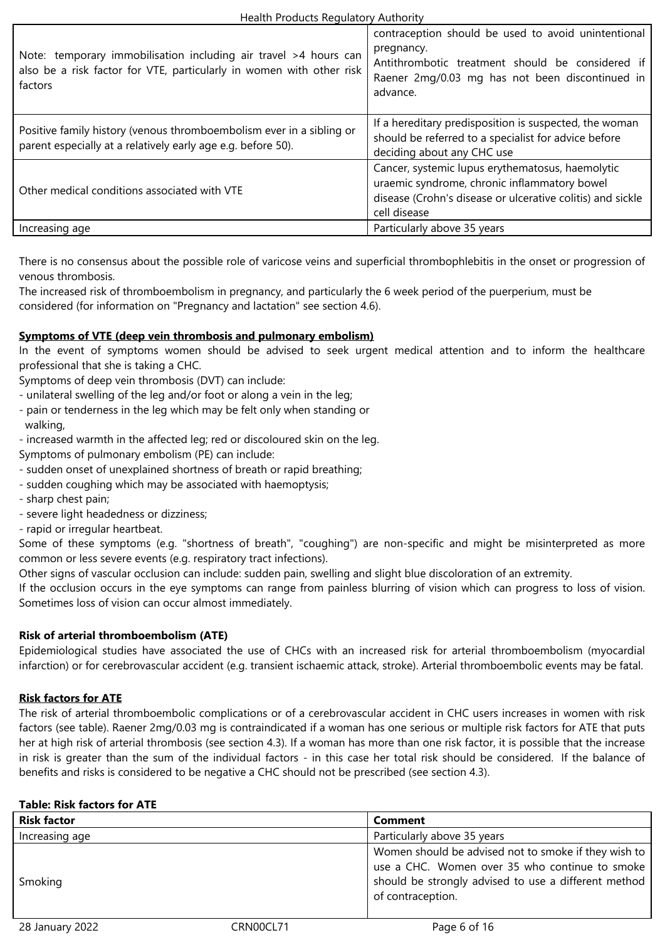| Note: temporary immobilisation including air travel >4 hours can<br>also be a risk factor for VTE, particularly in women with other risk<br>factors | contraception should be used to avoid unintentional<br>pregnancy.<br>Antithrombotic treatment should be considered if<br>Raener 2mg/0.03 mg has not been discontinued in<br>advance. |
|-----------------------------------------------------------------------------------------------------------------------------------------------------|--------------------------------------------------------------------------------------------------------------------------------------------------------------------------------------|
| Positive family history (venous thromboembolism ever in a sibling or<br>parent especially at a relatively early age e.g. before 50).                | If a hereditary predisposition is suspected, the woman<br>should be referred to a specialist for advice before<br>deciding about any CHC use                                         |
| Other medical conditions associated with VTE                                                                                                        | Cancer, systemic lupus erythematosus, haemolytic<br>uraemic syndrome, chronic inflammatory bowel<br>disease (Crohn's disease or ulcerative colitis) and sickle<br>cell disease       |
| Increasing age                                                                                                                                      | Particularly above 35 years                                                                                                                                                          |

There is no consensus about the possible role of varicose veins and superficial thrombophlebitis in the onset or progression of venous thrombosis.

The increased risk of thromboembolism in pregnancy, and particularly the 6 week period of the puerperium, must be considered (for information on "Pregnancy and lactation" see section 4.6).

# **Symptoms of VTE (deep vein thrombosis and pulmonary embolism)**

In the event of symptoms women should be advised to seek urgent medical attention and to inform the healthcare professional that she is taking a CHC.

Symptoms of deep vein thrombosis (DVT) can include:

- unilateral swelling of the leg and/or foot or along a vein in the leg;
- pain or tenderness in the leg which may be felt only when standing or walking,
- increased warmth in the affected leg; red or discoloured skin on the leg.

Symptoms of pulmonary embolism (PE) can include:

- sudden onset of unexplained shortness of breath or rapid breathing;
- sudden coughing which may be associated with haemoptysis;
- sharp chest pain;
- severe light headedness or dizziness;
- rapid or irregular heartbeat.

Some of these symptoms (e.g. "shortness of breath", "coughing") are non-specific and might be misinterpreted as more common or less severe events (e.g. respiratory tract infections).

Other signs of vascular occlusion can include: sudden pain, swelling and slight blue discoloration of an extremity.

If the occlusion occurs in the eye symptoms can range from painless blurring of vision which can progress to loss of vision. Sometimes loss of vision can occur almost immediately.

# **Risk of arterial thromboembolism (ATE)**

Epidemiological studies have associated the use of CHCs with an increased risk for arterial thromboembolism (myocardial infarction) or for cerebrovascular accident (e.g. transient ischaemic attack, stroke). Arterial thromboembolic events may be fatal.

# **Risk factors for ATE**

The risk of arterial thromboembolic complications or of a cerebrovascular accident in CHC users increases in women with risk factors (see table). Raener 2mg/0.03 mg is contraindicated if a woman has one serious or multiple risk factors for ATE that puts her at high risk of arterial thrombosis (see section 4.3). If a woman has more than one risk factor, it is possible that the increase in risk is greater than the sum of the individual factors - in this case her total risk should be considered. If the balance of benefits and risks is considered to be negative a CHC should not be prescribed (see section 4.3).

# **Table: Risk factors for ATE**

| <b>Risk factor</b> | <b>Comment</b>                                                                                                                                                                      |
|--------------------|-------------------------------------------------------------------------------------------------------------------------------------------------------------------------------------|
| Increasing age     | Particularly above 35 years                                                                                                                                                         |
| Smoking            | Women should be advised not to smoke if they wish to<br>use a CHC. Women over 35 who continue to smoke<br>should be strongly advised to use a different method<br>of contraception. |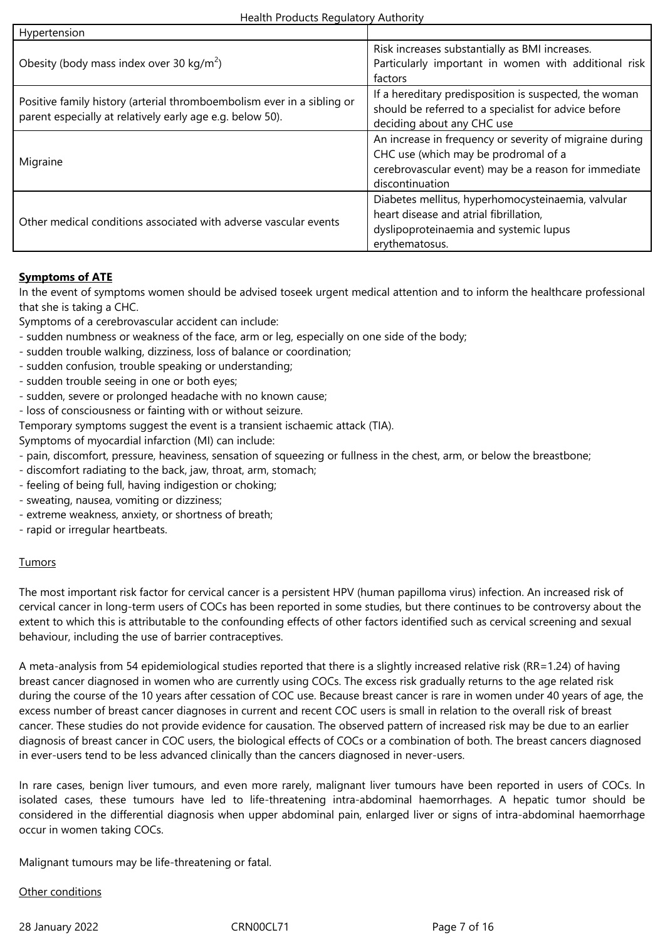| Hypertension                                                                                                                        |                                                                                                                                                                            |
|-------------------------------------------------------------------------------------------------------------------------------------|----------------------------------------------------------------------------------------------------------------------------------------------------------------------------|
| Obesity (body mass index over 30 kg/m <sup>2</sup> )                                                                                | Risk increases substantially as BMI increases.<br>Particularly important in women with additional risk<br>factors                                                          |
| Positive family history (arterial thromboembolism ever in a sibling or<br>parent especially at relatively early age e.g. below 50). | If a hereditary predisposition is suspected, the woman<br>should be referred to a specialist for advice before<br>deciding about any CHC use                               |
| Migraine                                                                                                                            | An increase in frequency or severity of migraine during<br>CHC use (which may be prodromal of a<br>cerebrovascular event) may be a reason for immediate<br>discontinuation |
| Other medical conditions associated with adverse vascular events                                                                    | Diabetes mellitus, hyperhomocysteinaemia, valvular<br>heart disease and atrial fibrillation,<br>dyslipoproteinaemia and systemic lupus<br>erythematosus.                   |

# **Symptoms of ATE**

In the event of symptoms women should be advised toseek urgent medical attention and to inform the healthcare professional that she is taking a CHC.

Symptoms of a cerebrovascular accident can include:

- sudden numbness or weakness of the face, arm or leg, especially on one side of the body;
- sudden trouble walking, dizziness, loss of balance or coordination;
- sudden confusion, trouble speaking or understanding;
- sudden trouble seeing in one or both eyes;
- sudden, severe or prolonged headache with no known cause;
- loss of consciousness or fainting with or without seizure.
- Temporary symptoms suggest the event is a transient ischaemic attack (TIA).

Symptoms of myocardial infarction (MI) can include:

- pain, discomfort, pressure, heaviness, sensation of squeezing or fullness in the chest, arm, or below the breastbone;
- discomfort radiating to the back, jaw, throat, arm, stomach;
- feeling of being full, having indigestion or choking;
- sweating, nausea, vomiting or dizziness;
- extreme weakness, anxiety, or shortness of breath;
- rapid or irregular heartbeats.

#### **Tumors**

The most important risk factor for cervical cancer is a persistent HPV (human papilloma virus) infection. An increased risk of cervical cancer in long-term users of COCs has been reported in some studies, but there continues to be controversy about the extent to which this is attributable to the confounding effects of other factors identified such as cervical screening and sexual behaviour, including the use of barrier contraceptives.

A meta-analysis from 54 epidemiological studies reported that there is a slightly increased relative risk (RR=1.24) of having breast cancer diagnosed in women who are currently using COCs. The excess risk gradually returns to the age related risk during the course of the 10 years after cessation of COC use. Because breast cancer is rare in women under 40 years of age, the excess number of breast cancer diagnoses in current and recent COC users is small in relation to the overall risk of breast cancer. These studies do not provide evidence for causation. The observed pattern of increased risk may be due to an earlier diagnosis of breast cancer in COC users, the biological effects of COCs or a combination of both. The breast cancers diagnosed in ever-users tend to be less advanced clinically than the cancers diagnosed in never-users.

In rare cases, benign liver tumours, and even more rarely, malignant liver tumours have been reported in users of COCs. In isolated cases, these tumours have led to life-threatening intra-abdominal haemorrhages. A hepatic tumor should be considered in the differential diagnosis when upper abdominal pain, enlarged liver or signs of intra-abdominal haemorrhage occur in women taking COCs.

Malignant tumours may be life-threatening or fatal.

#### Other conditions

28 January 2022 **CRNOOCL71** CRNOOCL71 Page 7 of 16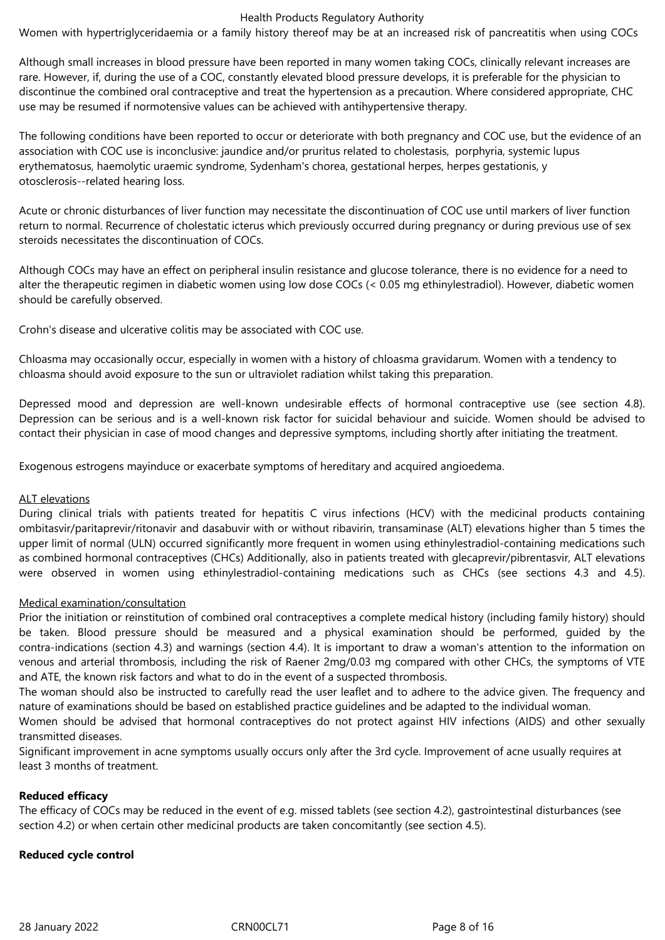Women with hypertriglyceridaemia or a family history thereof may be at an increased risk of pancreatitis when using COCs

Although small increases in blood pressure have been reported in many women taking COCs, clinically relevant increases are rare. However, if, during the use of a COC, constantly elevated blood pressure develops, it is preferable for the physician to discontinue the combined oral contraceptive and treat the hypertension as a precaution. Where considered appropriate, CHC use may be resumed if normotensive values can be achieved with antihypertensive therapy.

The following conditions have been reported to occur or deteriorate with both pregnancy and COC use, but the evidence of an association with COC use is inconclusive: jaundice and/or pruritus related to cholestasis, porphyria, systemic lupus erythematosus, haemolytic uraemic syndrome, Sydenham's chorea, gestational herpes, herpes gestationis, y otosclerosis--related hearing loss.

Acute or chronic disturbances of liver function may necessitate the discontinuation of COC use until markers of liver function return to normal. Recurrence of cholestatic icterus which previously occurred during pregnancy or during previous use of sex steroids necessitates the discontinuation of COCs.

Although COCs may have an effect on peripheral insulin resistance and glucose tolerance, there is no evidence for a need to alter the therapeutic regimen in diabetic women using low dose COCs (< 0.05 mg ethinylestradiol). However, diabetic women should be carefully observed.

Crohn's disease and ulcerative colitis may be associated with COC use.

Chloasma may occasionally occur, especially in women with a history of chloasma gravidarum. Women with a tendency to chloasma should avoid exposure to the sun or ultraviolet radiation whilst taking this preparation.

Depressed mood and depression are well-known undesirable effects of hormonal contraceptive use (see section 4.8). Depression can be serious and is a well-known risk factor for suicidal behaviour and suicide. Women should be advised to contact their physician in case of mood changes and depressive symptoms, including shortly after initiating the treatment.

Exogenous estrogens mayinduce or exacerbate symptoms of hereditary and acquired angioedema.

#### ALT elevations

During clinical trials with patients treated for hepatitis C virus infections (HCV) with the medicinal products containing ombitasvir/paritaprevir/ritonavir and dasabuvir with or without ribavirin, transaminase (ALT) elevations higher than 5 times the upper limit of normal (ULN) occurred significantly more frequent in women using ethinylestradiol-containing medications such as combined hormonal contraceptives (CHCs) Additionally, also in patients treated with glecaprevir/pibrentasvir, ALT elevations were observed in women using ethinylestradiol-containing medications such as CHCs (see sections 4.3 and 4.5).

#### Medical examination/consultation

Prior the initiation or reinstitution of combined oral contraceptives a complete medical history (including family history) should be taken. Blood pressure should be measured and a physical examination should be performed, guided by the contra-indications (section 4.3) and warnings (section 4.4). It is important to draw a woman's attention to the information on venous and arterial thrombosis, including the risk of Raener 2mg/0.03 mg compared with other CHCs, the symptoms of VTE and ATE, the known risk factors and what to do in the event of a suspected thrombosis.

The woman should also be instructed to carefully read the user leaflet and to adhere to the advice given. The frequency and nature of examinations should be based on established practice guidelines and be adapted to the individual woman.

Women should be advised that hormonal contraceptives do not protect against HIV infections (AIDS) and other sexually transmitted diseases.

Significant improvement in acne symptoms usually occurs only after the 3rd cycle. Improvement of acne usually requires at least 3 months of treatment.

#### **Reduced efficacy**

The efficacy of COCs may be reduced in the event of e.g. missed tablets (see section 4.2), gastrointestinal disturbances (see section 4.2) or when certain other medicinal products are taken concomitantly (see section 4.5).

# **Reduced cycle control**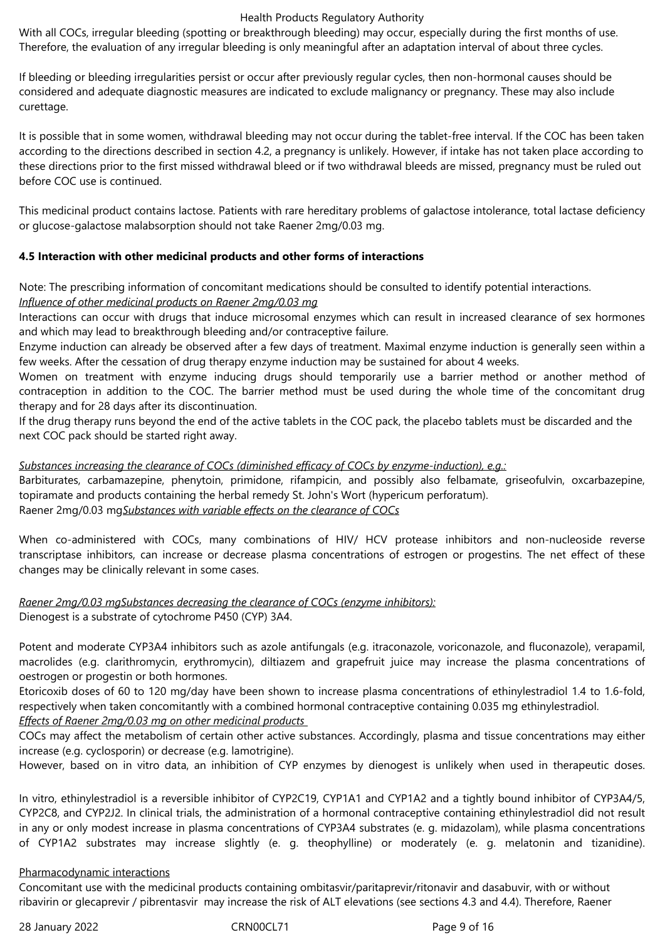With all COCs, irregular bleeding (spotting or breakthrough bleeding) may occur, especially during the first months of use. Therefore, the evaluation of any irregular bleeding is only meaningful after an adaptation interval of about three cycles.

If bleeding or bleeding irregularities persist or occur after previously regular cycles, then non-hormonal causes should be considered and adequate diagnostic measures are indicated to exclude malignancy or pregnancy. These may also include curettage.

It is possible that in some women, withdrawal bleeding may not occur during the tablet-free interval. If the COC has been taken according to the directions described in section 4.2, a pregnancy is unlikely. However, if intake has not taken place according to these directions prior to the first missed withdrawal bleed or if two withdrawal bleeds are missed, pregnancy must be ruled out before COC use is continued.

This medicinal product contains lactose. Patients with rare hereditary problems of galactose intolerance, total lactase deficiency or glucose-galactose malabsorption should not take Raener 2mg/0.03 mg.

# **4.5 Interaction with other medicinal products and other forms of interactions**

Note: The prescribing information of concomitant medications should be consulted to identify potential interactions.

## *Influence of other medicinal products on Raener 2mg/0.03 mg*

Interactions can occur with drugs that induce microsomal enzymes which can result in increased clearance of sex hormones and which may lead to breakthrough bleeding and/or contraceptive failure.

Enzyme induction can already be observed after a few days of treatment. Maximal enzyme induction is generally seen within a few weeks. After the cessation of drug therapy enzyme induction may be sustained for about 4 weeks.

Women on treatment with enzyme inducing drugs should temporarily use a barrier method or another method of contraception in addition to the COC. The barrier method must be used during the whole time of the concomitant drug therapy and for 28 days after its discontinuation.

If the drug therapy runs beyond the end of the active tablets in the COC pack, the placebo tablets must be discarded and the next COC pack should be started right away.

# *Substances increasing the clearance of COCs (diminished efficacy of COCs by enzyme-induction), e.g.:*

Barbiturates, carbamazepine, phenytoin, primidone, rifampicin, and possibly also felbamate, griseofulvin, oxcarbazepine, topiramate and products containing the herbal remedy St. John's Wort (hypericum perforatum). Raener 2mg/0.03 mg*Substances with variable effects on the clearance of COCs*

When co-administered with COCs, many combinations of HIV/ HCV protease inhibitors and non-nucleoside reverse transcriptase inhibitors, can increase or decrease plasma concentrations of estrogen or progestins. The net effect of these changes may be clinically relevant in some cases.

#### *Raener 2mg/0.03 mgSubstances decreasing the clearance of COCs (enzyme inhibitors):* Dienogest is a substrate of cytochrome P450 (CYP) 3A4.

Potent and moderate CYP3A4 inhibitors such as azole antifungals (e.g. itraconazole, voriconazole, and fluconazole), verapamil, macrolides (e.g. clarithromycin, erythromycin), diltiazem and grapefruit juice may increase the plasma concentrations of oestrogen or progestin or both hormones.

Etoricoxib doses of 60 to 120 mg/day have been shown to increase plasma concentrations of ethinylestradiol 1.4 to 1.6-fold, respectively when taken concomitantly with a combined hormonal contraceptive containing 0.035 mg ethinylestradiol. *Effects of Raener 2mg/0.03 mg on other medicinal products* 

COCs may affect the metabolism of certain other active substances. Accordingly, plasma and tissue concentrations may either increase (e.g. cyclosporin) or decrease (e.g. lamotrigine).

However, based on in vitro data, an inhibition of CYP enzymes by dienogest is unlikely when used in therapeutic doses.

In vitro, ethinylestradiol is a reversible inhibitor of CYP2C19, CYP1A1 and CYP1A2 and a tightly bound inhibitor of CYP3A4/5, CYP2C8, and CYP2J2. In clinical trials, the administration of a hormonal contraceptive containing ethinylestradiol did not result in any or only modest increase in plasma concentrations of CYP3A4 substrates (e. g. midazolam), while plasma concentrations of CYP1A2 substrates may increase slightly (e. g. theophylline) or moderately (e. g. melatonin and tizanidine).

# Pharmacodynamic interactions

Concomitant use with the medicinal products containing ombitasvir/paritaprevir/ritonavir and dasabuvir, with or without ribavirin or glecaprevir / pibrentasvir may increase the risk of ALT elevations (see sections 4.3 and 4.4). Therefore, Raener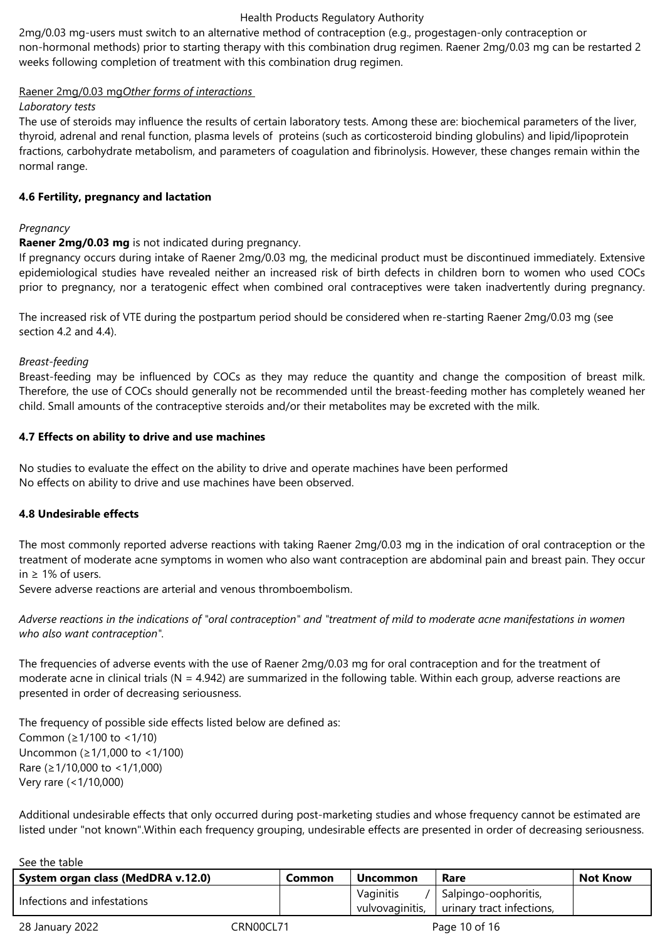2mg/0.03 mg-users must switch to an alternative method of contraception (e.g., progestagen-only contraception or non-hormonal methods) prior to starting therapy with this combination drug regimen. Raener 2mg/0.03 mg can be restarted 2 weeks following completion of treatment with this combination drug regimen.

# Raener 2mg/0.03 mg*Other forms of interactions*

#### *Laboratory tests*

The use of steroids may influence the results of certain laboratory tests. Among these are: biochemical parameters of the liver, thyroid, adrenal and renal function, plasma levels of proteins (such as corticosteroid binding globulins) and lipid/lipoprotein fractions, carbohydrate metabolism, and parameters of coagulation and fibrinolysis. However, these changes remain within the normal range.

#### **4.6 Fertility, pregnancy and lactation**

## *Pregnancy*

## **Raener 2mg/0.03 mg** is not indicated during pregnancy.

If pregnancy occurs during intake of Raener 2mg/0.03 mg, the medicinal product must be discontinued immediately. Extensive epidemiological studies have revealed neither an increased risk of birth defects in children born to women who used COCs prior to pregnancy, nor a teratogenic effect when combined oral contraceptives were taken inadvertently during pregnancy.

The increased risk of VTE during the postpartum period should be considered when re-starting Raener 2mg/0.03 mg (see section 4.2 and 4.4).

#### *Breast-feeding*

Breast-feeding may be influenced by COCs as they may reduce the quantity and change the composition of breast milk. Therefore, the use of COCs should generally not be recommended until the breast-feeding mother has completely weaned her child. Small amounts of the contraceptive steroids and/or their metabolites may be excreted with the milk.

## **4.7 Effects on ability to drive and use machines**

No studies to evaluate the effect on the ability to drive and operate machines have been performed No effects on ability to drive and use machines have been observed.

#### **4.8 Undesirable effects**

The most commonly reported adverse reactions with taking Raener 2mg/0.03 mg in the indication of oral contraception or the treatment of moderate acne symptoms in women who also want contraception are abdominal pain and breast pain. They occur  $in$  > 1% of users.

Severe adverse reactions are arterial and venous thromboembolism.

*Adverse reactions in the indications of "oral contraception" and "treatment of mild to moderate acne manifestations in women who also want contraception".*

The frequencies of adverse events with the use of Raener 2mg/0.03 mg for oral contraception and for the treatment of moderate acne in clinical trials ( $N = 4.942$ ) are summarized in the following table. Within each group, adverse reactions are presented in order of decreasing seriousness.

The frequency of possible side effects listed below are defined as: Common (≥1/100 to <1/10) Uncommon (≥1/1,000 to <1/100) Rare (≥1/10,000 to <1/1,000) Very rare (<1/10,000)

Additional undesirable effects that only occurred during post-marketing studies and whose frequency cannot be estimated are listed under "not known".Within each frequency grouping, undesirable effects are presented in order of decreasing seriousness.

| See the table                      |           |                              |                                                   |                 |
|------------------------------------|-----------|------------------------------|---------------------------------------------------|-----------------|
| System organ class (MedDRA v.12.0) | Common    | <b>Uncommon</b>              | Rare                                              | <b>Not Know</b> |
| Infections and infestations        |           | Vaginitis<br>vulvovaginitis, | Salpingo-oophoritis,<br>urinary tract infections, |                 |
| 28 January 2022                    | CRN00CL71 |                              | Page 10 of 16                                     |                 |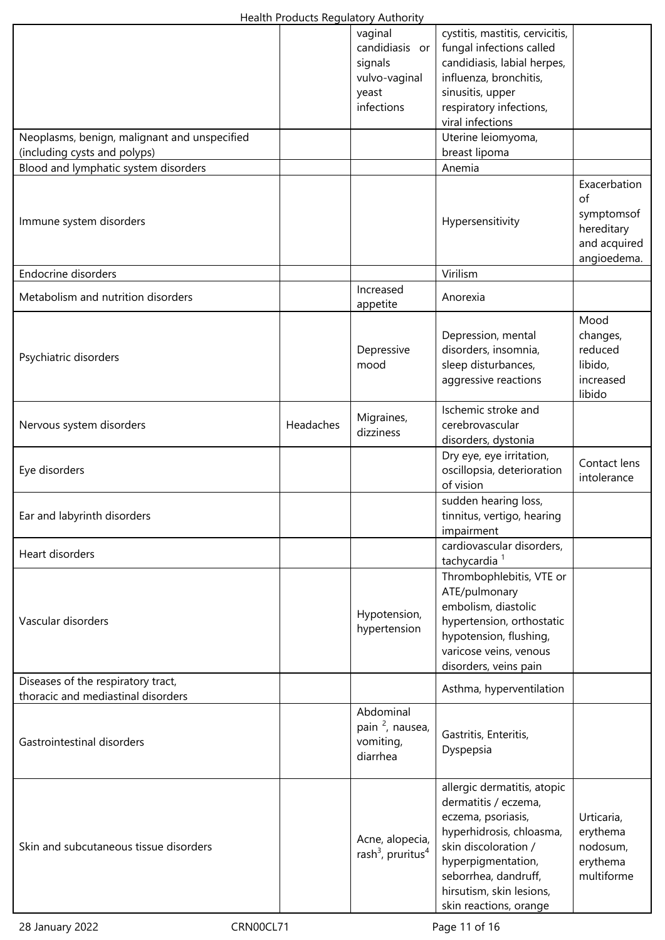|                                                                              |           | vaginal<br>candidiasis or<br>signals<br>vulvo-vaginal<br>yeast<br>infections | cystitis, mastitis, cervicitis,<br>fungal infections called<br>candidiasis, labial herpes,<br>influenza, bronchitis,<br>sinusitis, upper<br>respiratory infections,<br>viral infections                                           |                                                                               |
|------------------------------------------------------------------------------|-----------|------------------------------------------------------------------------------|-----------------------------------------------------------------------------------------------------------------------------------------------------------------------------------------------------------------------------------|-------------------------------------------------------------------------------|
| Neoplasms, benign, malignant and unspecified<br>(including cysts and polyps) |           |                                                                              | Uterine leiomyoma,<br>breast lipoma                                                                                                                                                                                               |                                                                               |
| Blood and lymphatic system disorders                                         |           |                                                                              | Anemia                                                                                                                                                                                                                            |                                                                               |
| Immune system disorders                                                      |           |                                                                              | Hypersensitivity                                                                                                                                                                                                                  | Exacerbation<br>of<br>symptomsof<br>hereditary<br>and acquired<br>angioedema. |
| <b>Endocrine disorders</b>                                                   |           |                                                                              | Virilism                                                                                                                                                                                                                          |                                                                               |
| Metabolism and nutrition disorders                                           |           | Increased<br>appetite                                                        | Anorexia                                                                                                                                                                                                                          |                                                                               |
| Psychiatric disorders                                                        |           | Depressive<br>mood                                                           | Depression, mental<br>disorders, insomnia,<br>sleep disturbances,<br>aggressive reactions                                                                                                                                         | Mood<br>changes,<br>reduced<br>libido,<br>increased<br>libido                 |
| Nervous system disorders                                                     | Headaches | Migraines,<br>dizziness                                                      | Ischemic stroke and<br>cerebrovascular<br>disorders, dystonia                                                                                                                                                                     |                                                                               |
| Eye disorders                                                                |           |                                                                              | Dry eye, eye irritation,<br>oscillopsia, deterioration<br>of vision                                                                                                                                                               | Contact lens<br>intolerance                                                   |
| Ear and labyrinth disorders                                                  |           |                                                                              | sudden hearing loss,<br>tinnitus, vertigo, hearing<br>impairment                                                                                                                                                                  |                                                                               |
| Heart disorders                                                              |           |                                                                              | cardiovascular disorders,<br>tachycardia <sup>1</sup>                                                                                                                                                                             |                                                                               |
| Vascular disorders                                                           |           | Hypotension,<br>hypertension                                                 | Thrombophlebitis, VTE or<br>ATE/pulmonary<br>embolism, diastolic<br>hypertension, orthostatic<br>hypotension, flushing,<br>varicose veins, venous<br>disorders, veins pain                                                        |                                                                               |
| Diseases of the respiratory tract,<br>thoracic and mediastinal disorders     |           |                                                                              | Asthma, hyperventilation                                                                                                                                                                                                          |                                                                               |
| Gastrointestinal disorders                                                   |           | Abdominal<br>pain <sup>2</sup> , nausea,<br>vomiting,<br>diarrhea            | Gastritis, Enteritis,<br>Dyspepsia                                                                                                                                                                                                |                                                                               |
| Skin and subcutaneous tissue disorders                                       |           | Acne, alopecia,<br>rash <sup>3</sup> , pruritus <sup>4</sup>                 | allergic dermatitis, atopic<br>dermatitis / eczema,<br>eczema, psoriasis,<br>hyperhidrosis, chloasma,<br>skin discoloration /<br>hyperpigmentation,<br>seborrhea, dandruff,<br>hirsutism, skin lesions,<br>skin reactions, orange | Urticaria,<br>erythema<br>nodosum,<br>erythema<br>multiforme                  |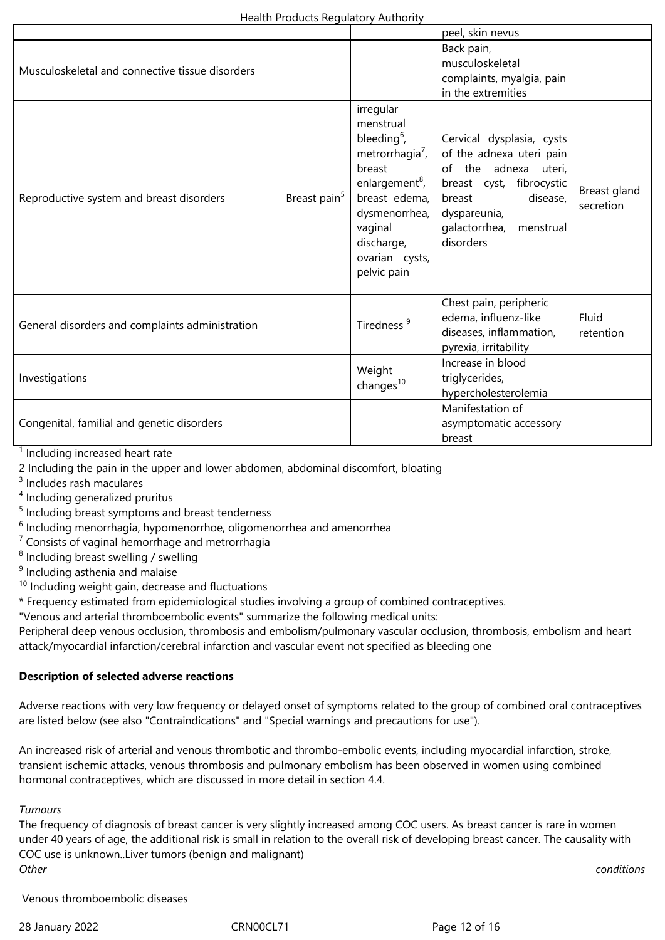|                                                 |                          |                                                                                                                                                                                                             | peel, skin nevus                                                                                                                                                                           |                           |
|-------------------------------------------------|--------------------------|-------------------------------------------------------------------------------------------------------------------------------------------------------------------------------------------------------------|--------------------------------------------------------------------------------------------------------------------------------------------------------------------------------------------|---------------------------|
| Musculoskeletal and connective tissue disorders |                          |                                                                                                                                                                                                             | Back pain,<br>musculoskeletal<br>complaints, myalgia, pain<br>in the extremities                                                                                                           |                           |
| Reproductive system and breast disorders        | Breast pain <sup>5</sup> | irregular<br>menstrual<br>bleeding $6$ ,<br>metrorrhagia <sup>7</sup> ,<br>breast<br>enlargement <sup>8</sup> ,<br>breast edema,<br>dysmenorrhea,<br>vaginal<br>discharge,<br>ovarian cysts,<br>pelvic pain | Cervical dysplasia, cysts<br>of the adnexa uteri pain<br>of the adnexa uteri,<br>breast cyst, fibrocystic<br>disease,<br>breast<br>dyspareunia,<br>galactorrhea,<br>menstrual<br>disorders | Breast gland<br>secretion |
| General disorders and complaints administration |                          | Tiredness <sup>9</sup>                                                                                                                                                                                      | Chest pain, peripheric<br>edema, influenz-like<br>diseases, inflammation,<br>pyrexia, irritability                                                                                         | Fluid<br>retention        |
| Investigations                                  |                          | Weight<br>changes $10$                                                                                                                                                                                      | Increase in blood<br>triglycerides,<br>hypercholesterolemia                                                                                                                                |                           |
| Congenital, familial and genetic disorders      |                          |                                                                                                                                                                                                             | Manifestation of<br>asymptomatic accessory<br>breast                                                                                                                                       |                           |

<sup>1</sup> Including increased heart rate

2 Including the pain in the upper and lower abdomen, abdominal discomfort, bloating

3 Includes rash maculares

- <sup>4</sup> Including generalized pruritus
- <sup>5</sup> Including breast symptoms and breast tenderness

 $<sup>6</sup>$  Including menorrhagia, hypomenorrhoe, oligomenorrhea and amenorrhea</sup>

 $7$  Consists of vaginal hemorrhage and metrorrhagia

<sup>8</sup> Including breast swelling / swelling

<sup>9</sup> Including asthenia and malaise

 $10$  Including weight gain, decrease and fluctuations

\* Frequency estimated from epidemiological studies involving a group of combined contraceptives.

"Venous and arterial thromboembolic events" summarize the following medical units:

Peripheral deep venous occlusion, thrombosis and embolism/pulmonary vascular occlusion, thrombosis, embolism and heart attack/myocardial infarction/cerebral infarction and vascular event not specified as bleeding one

#### **Description of selected adverse reactions**

Adverse reactions with very low frequency or delayed onset of symptoms related to the group of combined oral contraceptives are listed below (see also "Contraindications" and "Special warnings and precautions for use").

An increased risk of arterial and venous thrombotic and thrombo-embolic events, including myocardial infarction, stroke, transient ischemic attacks, venous thrombosis and pulmonary embolism has been observed in women using combined hormonal contraceptives, which are discussed in more detail in section 4.4.

*Tumours*

The frequency of diagnosis of breast cancer is very slightly increased among COC users. As breast cancer is rare in women under 40 years of age, the additional risk is small in relation to the overall risk of developing breast cancer. The causality with COC use is unknown..Liver tumors (benign and malignant) *Other conditions*

Venous thromboembolic diseases

28 January 2022 CRN00CL71 Page 12 of 16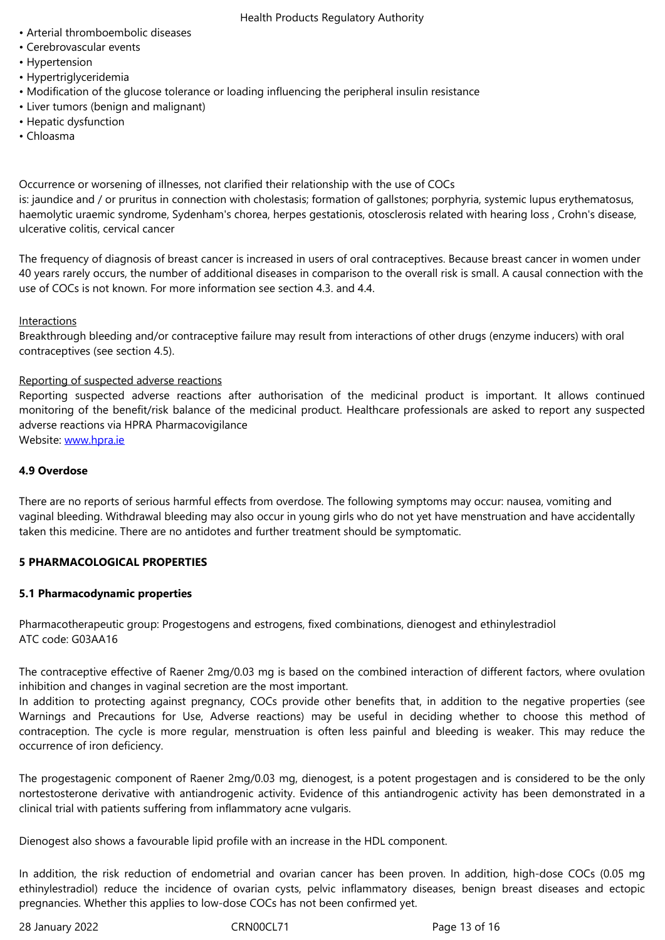- Hypertension
- Hypertriglyceridemia
- Modification of the glucose tolerance or loading influencing the peripheral insulin resistance
- Liver tumors (benign and malignant)
- Hepatic dysfunction
- Chloasma

Occurrence or worsening of illnesses, not clarified their relationship with the use of COCs

is: jaundice and / or pruritus in connection with cholestasis; formation of gallstones; porphyria, systemic lupus erythematosus, haemolytic uraemic syndrome, Sydenham's chorea, herpes gestationis, otosclerosis related with hearing loss , Crohn's disease, ulcerative colitis, cervical cancer

The frequency of diagnosis of breast cancer is increased in users of oral contraceptives. Because breast cancer in women under 40 years rarely occurs, the number of additional diseases in comparison to the overall risk is small. A causal connection with the use of COCs is not known. For more information see section 4.3. and 4.4.

#### Interactions

Breakthrough bleeding and/or contraceptive failure may result from interactions of other drugs (enzyme inducers) with oral contraceptives (see section 4.5).

## Reporting of suspected adverse reactions

Reporting suspected adverse reactions after authorisation of the medicinal product is important. It allows continued monitoring of the benefit/risk balance of the medicinal product. Healthcare professionals are asked to report any suspected adverse reactions via HPRA Pharmacovigilance

Website: www.hpra.ie

## **4.9 Overdose**

There ar[e no reports o](http://www.hpra.ie/)f serious harmful effects from overdose. The following symptoms may occur: nausea, vomiting and vaginal bleeding. Withdrawal bleeding may also occur in young girls who do not yet have menstruation and have accidentally taken this medicine. There are no antidotes and further treatment should be symptomatic.

# **5 PHARMACOLOGICAL PROPERTIES**

#### **5.1 Pharmacodynamic properties**

Pharmacotherapeutic group: Progestogens and estrogens, fixed combinations, dienogest and ethinylestradiol ATC code: G03AA16

The contraceptive effective of Raener 2mg/0.03 mg is based on the combined interaction of different factors, where ovulation inhibition and changes in vaginal secretion are the most important.

In addition to protecting against pregnancy, COCs provide other benefits that, in addition to the negative properties (see Warnings and Precautions for Use, Adverse reactions) may be useful in deciding whether to choose this method of contraception. The cycle is more regular, menstruation is often less painful and bleeding is weaker. This may reduce the occurrence of iron deficiency.

The progestagenic component of Raener 2mg/0.03 mg, dienogest, is a potent progestagen and is considered to be the only nortestosterone derivative with antiandrogenic activity. Evidence of this antiandrogenic activity has been demonstrated in a clinical trial with patients suffering from inflammatory acne vulgaris.

Dienogest also shows a favourable lipid profile with an increase in the HDL component.

In addition, the risk reduction of endometrial and ovarian cancer has been proven. In addition, high-dose COCs (0.05 mg ethinylestradiol) reduce the incidence of ovarian cysts, pelvic inflammatory diseases, benign breast diseases and ectopic pregnancies. Whether this applies to low-dose COCs has not been confirmed yet.

28 January 2022 **CRNOOCL71** CRNOOCL71 Page 13 of 16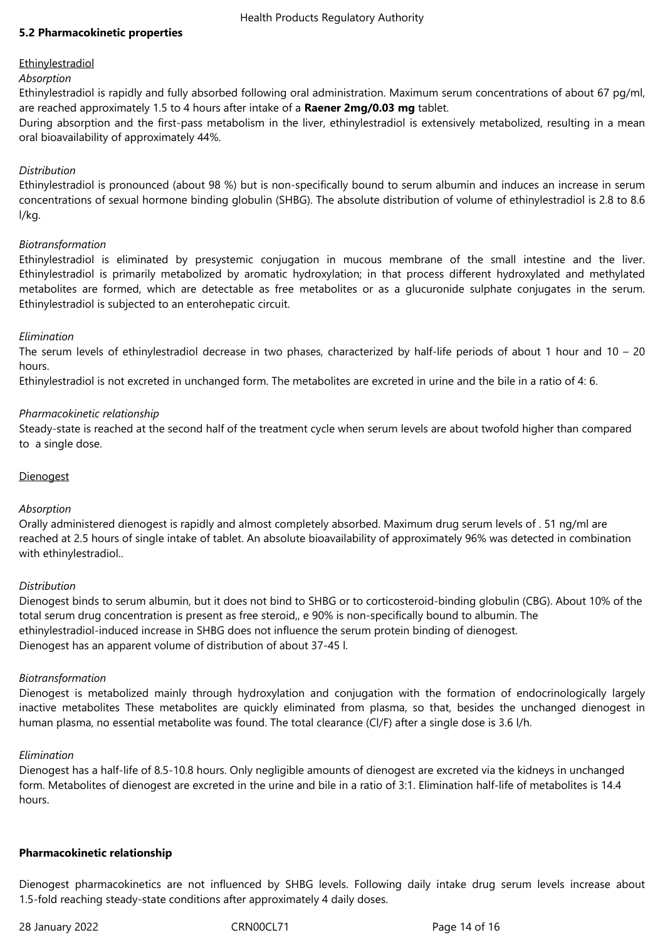## **5.2 Pharmacokinetic properties**

## **Ethinylestradiol**

#### *Absorption*

Ethinylestradiol is rapidly and fully absorbed following oral administration. Maximum serum concentrations of about 67 pg/ml, are reached approximately 1.5 to 4 hours after intake of a **Raener 2mg/0.03 mg** tablet.

During absorption and the first-pass metabolism in the liver, ethinylestradiol is extensively metabolized, resulting in a mean oral bioavailability of approximately 44%.

## *Distribution*

Ethinylestradiol is pronounced (about 98 %) but is non-specifically bound to serum albumin and induces an increase in serum concentrations of sexual hormone binding globulin (SHBG). The absolute distribution of volume of ethinylestradiol is 2.8 to 8.6 l/kg.

#### *Biotransformation*

Ethinylestradiol is eliminated by presystemic conjugation in mucous membrane of the small intestine and the liver. Ethinylestradiol is primarily metabolized by aromatic hydroxylation; in that process different hydroxylated and methylated metabolites are formed, which are detectable as free metabolites or as a glucuronide sulphate conjugates in the serum. Ethinylestradiol is subjected to an enterohepatic circuit.

## *Elimination*

The serum levels of ethinylestradiol decrease in two phases, characterized by half-life periods of about 1 hour and  $10 - 20$ hours.

Ethinylestradiol is not excreted in unchanged form. The metabolites are excreted in urine and the bile in a ratio of 4: 6.

## *Pharmacokinetic relationship*

Steady-state is reached at the second half of the treatment cycle when serum levels are about twofold higher than compared to a single dose.

#### **Dienogest**

#### *Absorption*

Orally administered dienogest is rapidly and almost completely absorbed. Maximum drug serum levels of . 51 ng/ml are reached at 2.5 hours of single intake of tablet. An absolute bioavailability of approximately 96% was detected in combination with ethinylestradiol..

#### *Distribution*

Dienogest binds to serum albumin, but it does not bind to SHBG or to corticosteroid-binding globulin (CBG). About 10% of the total serum drug concentration is present as free steroid,, e 90% is non-specifically bound to albumin. The ethinylestradiol-induced increase in SHBG does not influence the serum protein binding of dienogest. Dienogest has an apparent volume of distribution of about 37-45 l.

#### *Biotransformation*

Dienogest is metabolized mainly through hydroxylation and conjugation with the formation of endocrinologically largely inactive metabolites These metabolites are quickly eliminated from plasma, so that, besides the unchanged dienogest in human plasma, no essential metabolite was found. The total clearance (Cl/F) after a single dose is 3.6 l/h.

#### *Elimination*

Dienogest has a half-life of 8.5-10.8 hours. Only negligible amounts of dienogest are excreted via the kidneys in unchanged form. Metabolites of dienogest are excreted in the urine and bile in a ratio of 3:1. Elimination half-life of metabolites is 14.4 hours.

#### **Pharmacokinetic relationship**

Dienogest pharmacokinetics are not influenced by SHBG levels. Following daily intake drug serum levels increase about 1.5-fold reaching steady-state conditions after approximately 4 daily doses.

28 January 2022 CRN00CL71 Page 14 of 16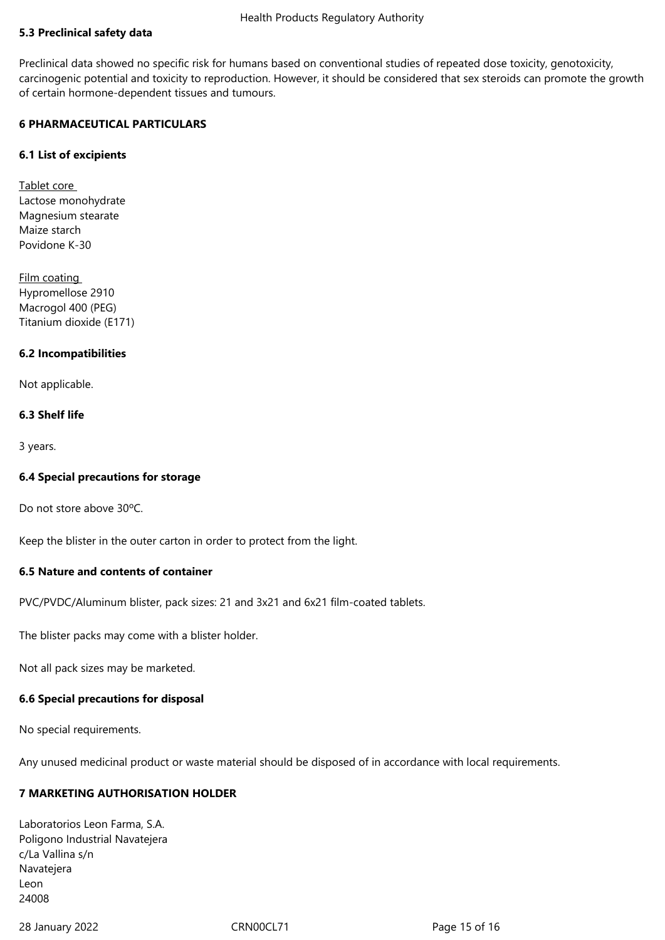## **5.3 Preclinical safety data**

Preclinical data showed no specific risk for humans based on conventional studies of repeated dose toxicity, genotoxicity, carcinogenic potential and toxicity to reproduction. However, it should be considered that sex steroids can promote the growth of certain hormone-dependent tissues and tumours.

## **6 PHARMACEUTICAL PARTICULARS**

## **6.1 List of excipients**

Tablet core Lactose monohydrate Magnesium stearate Maize starch Povidone K-30

Film coating Hypromellose 2910 Macrogol 400 (PEG) Titanium dioxide (E171)

## **6.2 Incompatibilities**

Not applicable.

#### **6.3 Shelf life**

3 years.

#### **6.4 Special precautions for storage**

Do not store above 30ºC.

Keep the blister in the outer carton in order to protect from the light.

## **6.5 Nature and contents of container**

PVC/PVDC/Aluminum blister, pack sizes: 21 and 3x21 and 6x21 film-coated tablets.

The blister packs may come with a blister holder.

Not all pack sizes may be marketed.

#### **6.6 Special precautions for disposal**

No special requirements.

Any unused medicinal product or waste material should be disposed of in accordance with local requirements.

# **7 MARKETING AUTHORISATION HOLDER**

Laboratorios Leon Farma, S.A. Poligono Industrial Navatejera c/La Vallina s/n Navatejera Leon 24008

28 January 2022 CRN00CL71 Page 15 of 16